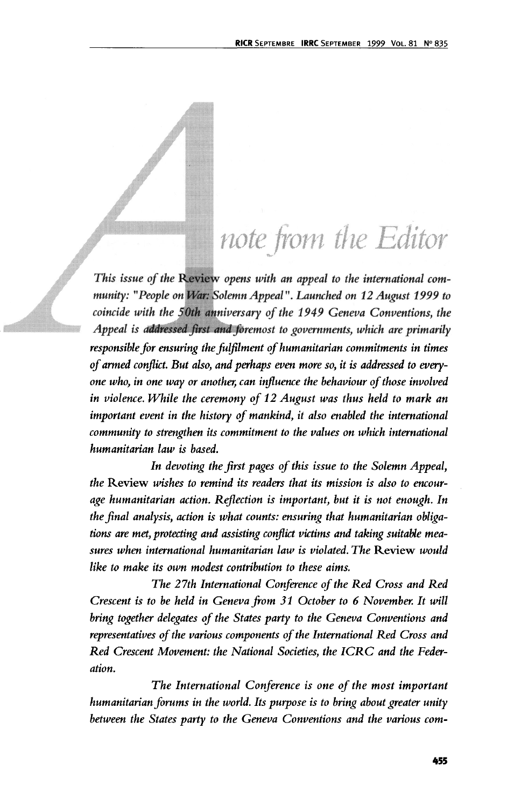## note from the Editor

*This issue of the* Review *opens with an appeal to the international community: "People on War: Solemn Appeal". Launched on 12 August 1999 to coincide with the 50th anniversary of the 1949 Geneva Conventions, the Appeal is addressed first and foremost to governments, which are primarily responsible for ensuring the fulfilment of humanitarian commitments in times of armed conflict. But also, and perhaps even more so, it is addressed to everyone who, in one way or another, can influence the behaviour of those involved in violence. While the ceremony of 12 August was thus held to mark an important event in the history of mankind, it also enabled the international community to strengthen its commitment to the values on which international humanitarian law is based.*

*In devoting the first pages of this issue to the Solemn Appeal, the* Review *wishes to remind its readers that its mission is also to encourage humanitarian action. Reflection is important, but it is not enough. In the final analysis, action is what counts: ensuring that humanitarian obligations are met, protecting and assisting conflict victims and taking suitable measures when international humanitarian law is violated. The* Review *would like to make its own modest contribution to these aims.*

*The 27th International Conference of the Red Cross and Red Crescent is to be held in Geneva from 31 October to 6 November. It will bring together delegates of the States party to the Geneva Conventions and representatives of the various components of the International Red Cross and Red Crescent Movement: the National Societies, the ICRC and the Federation.*

*The International Conference is one of the most important humanitarian forums in the world. Its purpose is to bring about greater unity between the States party to the Geneva Conventions and the various com-*